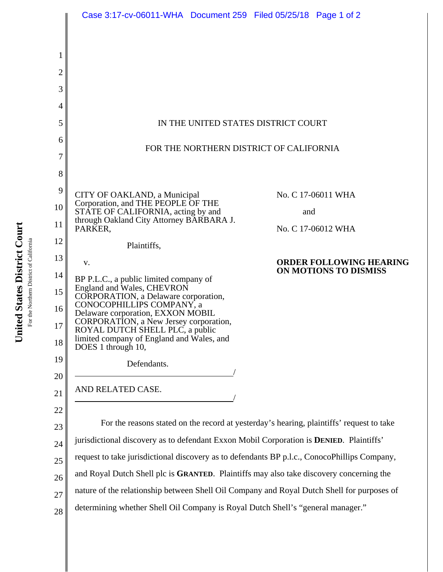|                | Case 3:17-cv-06011-WHA Document 259 Filed 05/25/18 Page 1 of 2                               |                                |
|----------------|----------------------------------------------------------------------------------------------|--------------------------------|
|                |                                                                                              |                                |
|                |                                                                                              |                                |
| 1              |                                                                                              |                                |
| $\overline{2}$ |                                                                                              |                                |
| 3              |                                                                                              |                                |
| 4              |                                                                                              |                                |
| 5              | IN THE UNITED STATES DISTRICT COURT                                                          |                                |
| 6              | FOR THE NORTHERN DISTRICT OF CALIFORNIA                                                      |                                |
| 7              |                                                                                              |                                |
| 8              |                                                                                              |                                |
| 9              | CITY OF OAKLAND, a Municipal                                                                 | No. C 17-06011 WHA             |
| 10             | Corporation, and THE PEOPLE OF THE<br>STÂTE OF CALIFORNIA, acting by and                     | and                            |
| 11             | through Oakland City Attorney BARBARA J.<br>PARKER,                                          | No. C 17-06012 WHA             |
| 12             | Plaintiffs,                                                                                  |                                |
| 13             | V.                                                                                           | <b>ORDER FOLLOWING HEARING</b> |
| 14             | BP P.L.C., a public limited company of                                                       | ON MOTIONS TO DISMISS          |
| 15             | England and Wales, CHEVRON<br>CORPORATION, a Delaware corporation,                           |                                |
| 16             | CONOCOPHILLIPS COMPANY, a<br>Delaware corporation, EXXON MOBIL                               |                                |
| 17             | CORPORATION, a New Jersey corporation,<br>ROYAL DUTCH SHELL PLC, a public                    |                                |
| 18             | limited company of England and Wales, and<br>DOES 1 through 10,                              |                                |
| 19             | Defendants.                                                                                  |                                |
| 20             |                                                                                              |                                |
| 21             | AND RELATED CASE.                                                                            |                                |
| 22             |                                                                                              |                                |
| 23             | For the reasons stated on the record at yesterday's hearing, plaintiffs' request to take     |                                |
| 24             | jurisdictional discovery as to defendant Exxon Mobil Corporation is DENIED. Plaintiffs'      |                                |
| 25             | request to take jurisdictional discovery as to defendants BP p.l.c., ConocoPhillips Company, |                                |
| 26             | and Royal Dutch Shell plc is GRANTED. Plaintiffs may also take discovery concerning the      |                                |
| 27             | nature of the relationship between Shell Oil Company and Royal Dutch Shell for purposes of   |                                |
| 28             | determining whether Shell Oil Company is Royal Dutch Shell's "general manager."              |                                |
|                |                                                                                              |                                |

United States District Court **United States District Court** For the Northern District of California For the Northern District of California